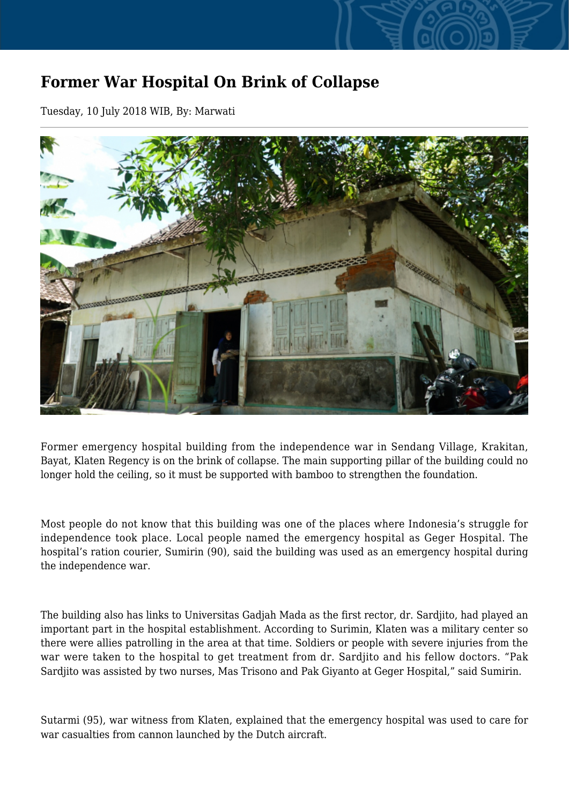## **Former War Hospital On Brink of Collapse**

Tuesday, 10 July 2018 WIB, By: Marwati



Former emergency hospital building from the independence war in Sendang Village, Krakitan, Bayat, Klaten Regency is on the brink of collapse. The main supporting pillar of the building could no longer hold the ceiling, so it must be supported with bamboo to strengthen the foundation.

Most people do not know that this building was one of the places where Indonesia's struggle for independence took place. Local people named the emergency hospital as Geger Hospital. The hospital's ration courier, Sumirin (90), said the building was used as an emergency hospital during the independence war.

The building also has links to Universitas Gadjah Mada as the first rector, dr. Sardjito, had played an important part in the hospital establishment. According to Surimin, Klaten was a military center so there were allies patrolling in the area at that time. Soldiers or people with severe injuries from the war were taken to the hospital to get treatment from dr. Sardjito and his fellow doctors. "Pak Sardjito was assisted by two nurses, Mas Trisono and Pak Giyanto at Geger Hospital," said Sumirin.

Sutarmi (95), war witness from Klaten, explained that the emergency hospital was used to care for war casualties from cannon launched by the Dutch aircraft.